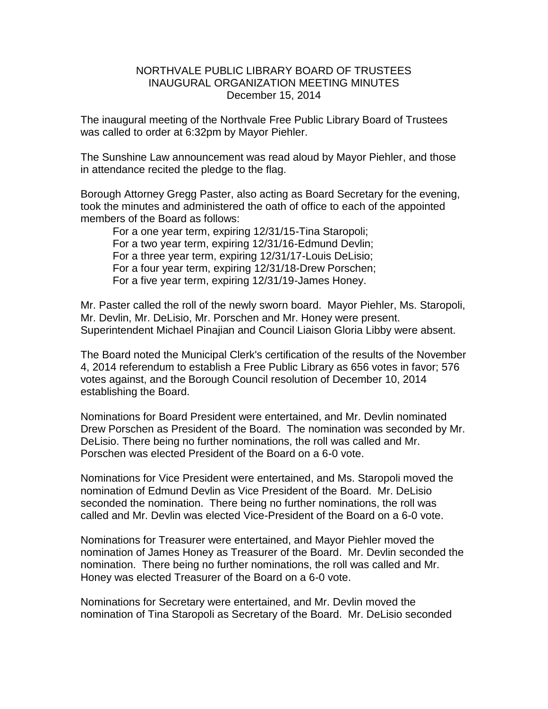## NORTHVALE PUBLIC LIBRARY BOARD OF TRUSTEES INAUGURAL ORGANIZATION MEETING MINUTES December 15, 2014

The inaugural meeting of the Northvale Free Public Library Board of Trustees was called to order at 6:32pm by Mayor Piehler.

The Sunshine Law announcement was read aloud by Mayor Piehler, and those in attendance recited the pledge to the flag.

Borough Attorney Gregg Paster, also acting as Board Secretary for the evening, took the minutes and administered the oath of office to each of the appointed members of the Board as follows:

For a one year term, expiring 12/31/15-Tina Staropoli; For a two year term, expiring 12/31/16-Edmund Devlin; For a three year term, expiring 12/31/17-Louis DeLisio; For a four year term, expiring 12/31/18-Drew Porschen; For a five year term, expiring 12/31/19-James Honey.

Mr. Paster called the roll of the newly sworn board. Mayor Piehler, Ms. Staropoli, Mr. Devlin, Mr. DeLisio, Mr. Porschen and Mr. Honey were present. Superintendent Michael Pinajian and Council Liaison Gloria Libby were absent.

The Board noted the Municipal Clerk's certification of the results of the November 4, 2014 referendum to establish a Free Public Library as 656 votes in favor; 576 votes against, and the Borough Council resolution of December 10, 2014 establishing the Board.

Nominations for Board President were entertained, and Mr. Devlin nominated Drew Porschen as President of the Board. The nomination was seconded by Mr. DeLisio. There being no further nominations, the roll was called and Mr. Porschen was elected President of the Board on a 6-0 vote.

Nominations for Vice President were entertained, and Ms. Staropoli moved the nomination of Edmund Devlin as Vice President of the Board. Mr. DeLisio seconded the nomination. There being no further nominations, the roll was called and Mr. Devlin was elected Vice-President of the Board on a 6-0 vote.

Nominations for Treasurer were entertained, and Mayor Piehler moved the nomination of James Honey as Treasurer of the Board. Mr. Devlin seconded the nomination. There being no further nominations, the roll was called and Mr. Honey was elected Treasurer of the Board on a 6-0 vote.

Nominations for Secretary were entertained, and Mr. Devlin moved the nomination of Tina Staropoli as Secretary of the Board. Mr. DeLisio seconded